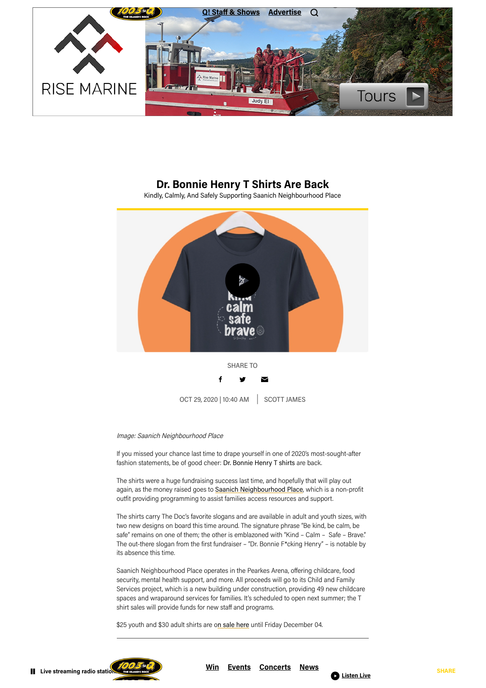## **Dr. Bonnie Henry T Shirts Are Back**

Kindly, Calmly, And Safely Supporting Saanich Neighbourhood Place

## Image: Saanich Neighbourhood Place

If you missed your chance last time to drape yourself in one of 2020's most-sought-after fashion statements, be of good cheer: Dr. Bonnie Henry T shirts are back.

The shirts were a huge fundraising success last time, and hopefully that will play out again, as the money raised goes to Saanich [Neighbourhood](https://saanichneighbourhoodplace.com/) Place, which is a non-profit outfit providing programming to assist families access resources and support.

The shirts carry The Doc's favorite slogans and are available in adult and youth sizes, with

two new designs on board this time around. The signature phrase "Be kind, be calm, be safe" remains on one of them; the other is emblazoned with "Kind – Calm – Safe – Brave." The out-there slogan from the first fundraiser – "Dr. Bonnie F\*cking Henry" – is notable by its absence this time.

Saanich Neighbourhood Place operates in the Pearkes Arena, offering childcare, food security, mental health support, and more. All proceeds will go to its Child and Family Services project, which is a new building under construction, providing 49 new childcare spaces and wraparound services for families. It's scheduled to open next summer; the T shirt sales will provide funds for new staff and programs.

\$25 youth and \$30 adult shirts are on sale [here](https://bonnie-henry.myshopify.com/) until Friday December 04.